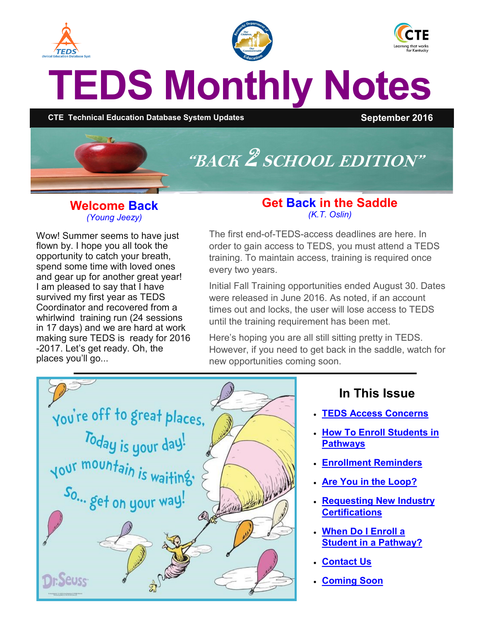<span id="page-0-0"></span>

#### **Welcome Back** *(Young Jeezy)*

Wow! Summer seems to have just flown by. I hope you all took the opportunity to catch your breath, spend some time with loved ones and gear up for another great year! I am pleased to say that I have survived my first year as TEDS Coordinator and recovered from a whirlwind training run (24 sessions in 17 days) and we are hard at work making sure TEDS is ready for 2016 -2017. Let's get ready. Oh, the places you'll go...

#### **Get Back in the Saddle** *(K.T. Oslin)*

The first end-of-TEDS-access deadlines are here. In order to gain access to TEDS, you must attend a TEDS training. To maintain access, training is required once every two years.

Initial Fall Training opportunities ended August 30. Dates were released in June 2016. As noted, if an account times out and locks, the user will lose access to TEDS until the training requirement has been met.

Here's hoping you are all still sitting pretty in TEDS. However, if you need to get back in the saddle, watch for new opportunities coming soon.



## **In This Issue**

- **[TEDS Access Concerns](#page-0-0)**
- **[How To Enroll Students in](#page-1-0)  [Pathways](#page-1-0)**
- **[Enrollment Reminders](#page-1-0)**
- **[Are You in the Loop?](#page-1-0)**
- **[Requesting New Industry](#page-2-0)  [Certifications](#page-2-0)**
- **[When Do I Enroll a](#page-2-0)  [Student in a Pathway?](#page-2-0)**
- **[Contact Us](#page-2-0)**
- **[Coming Soon](#page-2-0)**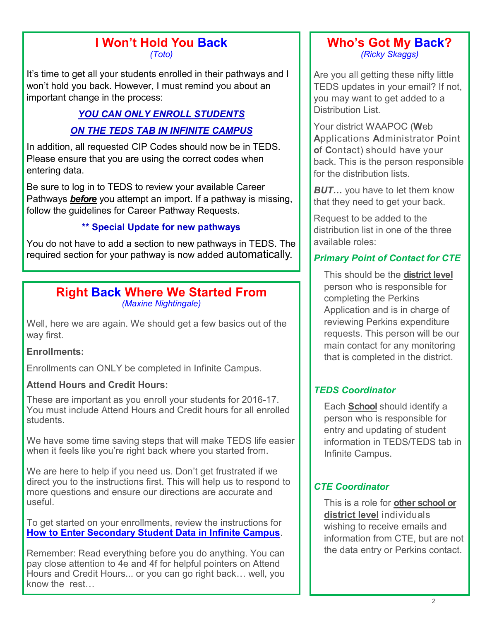#### **I Won't Hold You Back** *(Toto)*

<span id="page-1-0"></span>It's time to get all your students enrolled in their pathways and I won't hold you back. However, I must remind you about an important change in the process:

# *YOU CAN ONLY ENROLL STUDENTS ON THE TEDS TAB IN INFINITE CAMPUS*

In addition, all requested CIP Codes should now be in TEDS. Please ensure that you are using the correct codes when entering data.

Be sure to log in to TEDS to review your available Career Pathways *before* you attempt an import. If a pathway is missing, follow the guidelines for Career Pathway Requests.

#### **\*\* Special Update for new pathways**

You do not have to add a section to new pathways in TEDS. The required section for your pathway is now added automatically.

#### **Right Back Where We Started From** *(Maxine Nightingale)*

Well, here we are again. We should get a few basics out of the way first.

#### **Enrollments:**

Enrollments can ONLY be completed in Infinite Campus.

#### **Attend Hours and Credit Hours:**

These are important as you enroll your students for 2016-17. You must include Attend Hours and Credit hours for all enrolled students.

We have some time saving steps that will make TEDS life easier when it feels like you're right back where you started from.

We are here to help if you need us. Don't get frustrated if we direct you to the instructions first. This will help us to respond to more questions and ensure our directions are accurate and useful.

To get started on your enrollments, review the instructions for **How to Enter [Secondary Student Data in Infinite Campus](http://education.ky.gov/CTE/teds/Documents/How_To_Enter_Initial_Data_in_Infinite_Campus.pdf)**.

Remember: Read everything before you do anything. You can pay close attention to 4e and 4f for helpful pointers on Attend Hours and Credit Hours... or you can go right back… well, you know the rest…

#### **Who's Got My Back?** *(Ricky Skaggs)*

Are you all getting these nifty little TEDS updates in your email? If not, you may want to get added to a Distribution List.

Your district WAAPOC (**W**eb **A**pplications **A**dministrator **P**oint **o**f **C**ontact) should have your back. This is the person responsible for the distribution lists.

*BUT…* you have to let them know that they need to get your back.

Request to be added to the distribution list in one of the three available roles:

### *Primary Point of Contact for CTE*

This should be the **district level** person who is responsible for completing the Perkins Application and is in charge of reviewing Perkins expenditure requests. This person will be our main contact for any monitoring that is completed in the district.

#### *TEDS Coordinator*

Each **School** should identify a person who is responsible for entry and updating of student information in TEDS/TEDS tab in Infinite Campus.

#### *CTE Coordinator*

This is a role for **other school or district level** individuals wishing to receive emails and information from CTE, but are not the data entry or Perkins contact.